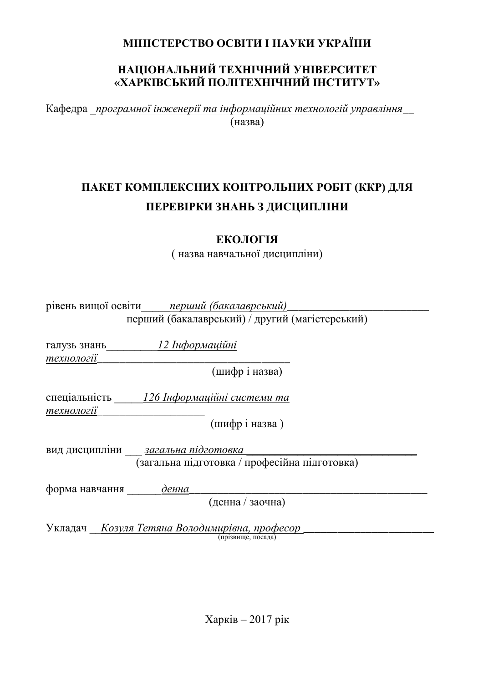### **МІНІСТЕРСТВО ОСВІТИ І НАУКИ УКРАЇНИ**

#### НАЦІОНАЛЬНИЙ ТЕХНІЧНИЙ УНІВЕРСИТЕТ «ХАРКІВСЬКИЙ ПОЛІТЕХНІЧНИЙ ІНСТИТУТ»

Кафедра програмної інженерії та інформаційних технологій управління  $(Ha3Ba)$ 

## ПАКЕТ КОМПЛЕКСНИХ КОНТРОЛЬНИХ РОБІТ (ККР) ДЛЯ ПЕРЕВІРКИ ЗНАНЬ З ДИСЦИПЛІНИ

**ЕКОЛОГІЯ** 

( назва навчальної дисципліни)

|                | рівень вищої освіти перший (бакалаврський)<br>перший (бакалаврський) / другий (магістерський) |  |
|----------------|-----------------------------------------------------------------------------------------------|--|
|                |                                                                                               |  |
| галузь знань   | <u> 12 Інформаційні</u>                                                                       |  |
| технології     |                                                                                               |  |
|                | (шифр і назва)                                                                                |  |
|                | спеціальність 126 Інформаційні системи та                                                     |  |
| технології     |                                                                                               |  |
|                | (шифріназва)                                                                                  |  |
|                | вид дисципліни <u>загальна підготовка</u>                                                     |  |
|                | (загальна підготовка / професійна підготовка)                                                 |  |
| форма навчання | денна                                                                                         |  |
|                | (денна / заочна)                                                                              |  |
|                | Укладач <i>– <u>Козуля Тетяна Володимирівна, професор</u></i>                                 |  |
|                | (прізвише, посала)                                                                            |  |
|                |                                                                                               |  |
|                |                                                                                               |  |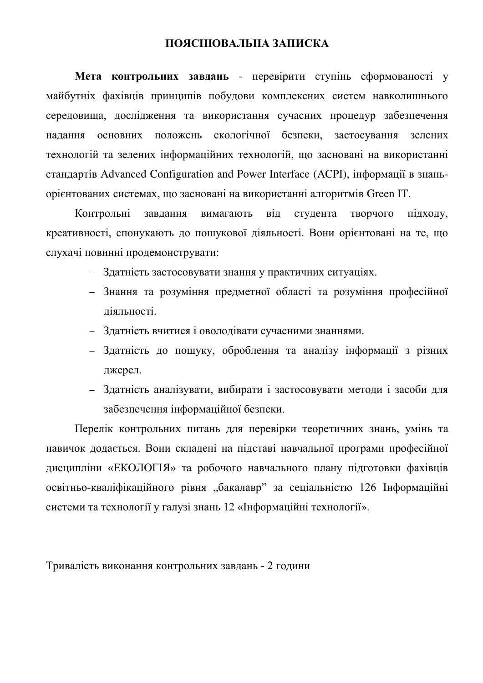#### ПОЯСНЮВАЛЬНА ЗАПИСКА

Мета контрольних завдань - перевірити ступінь сформованості у майбутніх фахівців принципів побудови комплексних систем навколишнього середовища, дослідження та використання сучасних процедур забезпечення надання основних положень екологічної безпеки, застосування зелених технологій та зелених інформаційних технологій, що засновані на використанні стандартів Advanced Configuration and Power Interface (ACPI), інформації в знань**орієнтованих системах, що засновані на використанні алгоритмів Green IT.** 

Контрольні завдання вимагають від студента творчого підходу, креативності, спонукають до пошукової діяльності. Вони орієнтовані на те, що слухачі повинні продемонструвати:

- Здатність застосовувати знання у практичних ситуаціях.
- Знання та розуміння предметної області та розуміння професійної діяльності.
- Здатність вчитися і оволодівати сучасними знаннями.
- Здатність до пошуку, оброблення та аналізу інформації з різних джерел.
- Здатність аналізувати, вибирати і застосовувати методи і засоби для забезпечення інформаційної безпеки.

Перелік контрольних питань для перевірки теоретичних знань, умінь та навичок додається. Вони складені на підставі навчальної програми професійної дисципліни «ЕКОЛОГІЯ» та робочого навчального плану підготовки фахівців освітньо-кваліфікаційного рівня "бакалавр" за сеціальністю 126 Інформаційні системи та технології у галузі знань 12 «Інформаційні технології».

Тривалість виконання контрольних завдань - 2 години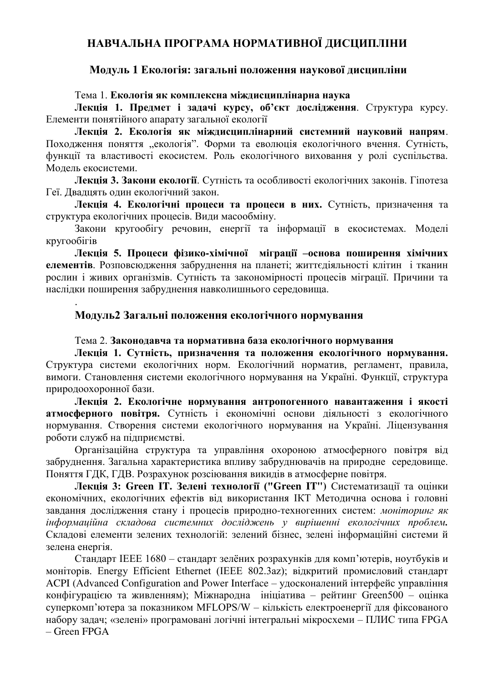#### НАВЧАЛЬНА ПРОГРАМА НОРМАТИВНОЇ ДИСЦИПЛІНИ

#### Модуль 1 Екологія: загальні положення наукової дисципліни

Тема 1. **Екологія як комплексна міждисциплінарна наука** 

**Лекція 1. Предмет і задачі курсу, об'єкт дослідження**. Структура курсу. Елементи понятійного апарату загальної екології

Лекція 2. Екологія як міждисциплінарний системний науковий напрям. Походження поняття "екологія". Форми та еволюція екологічного вчення. Сутність, функції та властивості екосистем. Роль екологічного виховання у ролі суспільства. Модель екосистеми.

Лекція 3. Закони екології. Сутність та особливості екологічних законів. Гіпотеза Геї. Двадцять один екологічний закон.

Лекція 4. Екологічні процеси та процеси в них. Сутність, призначення та структура екологічних процесів. Види масообміну.

Закони кругообігу речовин, енергії та інформації в екосистемах. Моделі кругообігів

**Лекція 5. Процеси фізико-хімічної міграції –основа поширення хімічних елементів**. Розповсюдження забруднення на планеті; життєдіяльності клітин і тканин рослин і живих організмів. Сутність та закономірності процесів міграції. Причини та наслідки поширення забруднення навколишнього середовища.

#### Модуль2 Загальні положення екологічного нормування

.

#### Тема 2. Законодавча та нормативна база екологічного нормування

Лекція 1. Сутність, призначення та положення екологічного нормування. Структура системи екологічних норм. Екологічний норматив, регламент, правила, вимоги. Становлення системи екологічного нормування на Україні. Функції, структура природоохоронної бази.

Лекція 2. Екологічне нормування антропогенного навантаження і якості **атмосферного повітря.** Сутність і економічні основи діяльності з екологічного нормування. Створення системи екологічного нормування на Україні. Ліцензування роботи служб на підприємстві.

Організаційна структура та управління охороною атмосферного повітря від забруднення. Загальна характеристика впливу забруднювачів на природне середовище. Поняття ГДК, ГДВ. Розрахунок розсіювання викидів в атмосферне повітря.

**Лекція 3: Green IT. Зелені технології ("Green IT")** Систематизації та оцінки економічних, екологічних ефектів від використання ІКТ Методична основа і головні завдання дослідження стану і процесів природно-техногенних систем: моніторинг як  $i_H$ формаційна складова системних досліджень у вирішенні екологічних проблем. Складові елементи зелених технологій: зелений бізнес, зелені інформаційні системи й зелена енергія.

Стандарт IEEE 1680 – стандарт зелёних розрахунків для комп'ютерів, ноутбуків и моніторів. Energy Efficient Ethernet (IEEE 802.3az); відкритий промисловий стандарт ACPI (Advanced Configuration and Power Interface – удосконалений інтерфейс управління конфігурацією та живленням); Міжнародна ініціатива – рейтинг Green500 – оцінка суперкомп'ютера за показником MFLOPS/W – кількість електроенергії для фіксованого набору задач; «зелені» програмовані логічні інтегральні мікросхеми – ПЛИС типа FPGA – Green FPGA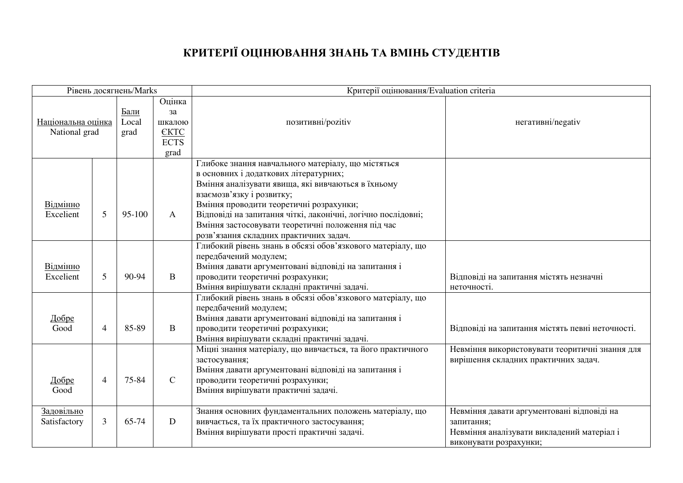# КРИТЕРІЇ ОЦІНЮВАННЯ ЗНАНЬ ТА ВМІНЬ СТУДЕНТІВ

| Рівень досягнень/Marks |                |        |              | Критерії оцінювання/Evaluation criteria                      |                                                  |
|------------------------|----------------|--------|--------------|--------------------------------------------------------------|--------------------------------------------------|
|                        |                |        | Оцінка       |                                                              |                                                  |
|                        |                | Бали   | за           |                                                              |                                                  |
| Національна оцінка     |                | Local  | шкалою       | позитивні/pozitiv                                            | негативні/negativ                                |
| National grad          |                | grad   | <b>EKTC</b>  |                                                              |                                                  |
|                        |                |        | <b>ECTS</b>  |                                                              |                                                  |
|                        |                |        | grad         |                                                              |                                                  |
|                        |                |        |              | Глибоке знання навчального матеріалу, що містяться           |                                                  |
|                        |                |        |              | в основних і додаткових літературних;                        |                                                  |
|                        |                |        |              | Вміння аналізувати явища, які вивчаються в їхньому           |                                                  |
|                        |                |        |              | взаємозв'язку і розвитку;                                    |                                                  |
| Відмінно               |                |        |              | Вміння проводити теоретичні розрахунки;                      |                                                  |
| Excelient              | 5              | 95-100 | $\mathbf{A}$ | Відповіді на запитання чіткі, лаконічні, логічно послідовні; |                                                  |
|                        |                |        |              | Вміння застосовувати теоретичні положення під час            |                                                  |
|                        |                |        |              | розв'язання складних практичних задач.                       |                                                  |
|                        |                |        |              | Глибокий рівень знань в обсязі обов'язкового матеріалу, що   |                                                  |
|                        |                |        |              | передбачений модулем;                                        |                                                  |
| Відмінно               |                |        |              | Вміння давати аргументовані відповіді на запитання і         |                                                  |
| Excelient              | 5              | 90-94  | $\mathbf{B}$ | проводити теоретичні розрахунки;                             | Відповіді на запитання містять незначні          |
|                        |                |        |              | Вміння вирішувати складні практичні задачі.                  | неточності.                                      |
|                        |                |        |              | Глибокий рівень знань в обсязі обов'язкового матеріалу, що   |                                                  |
|                        |                |        |              | передбачений модулем;                                        |                                                  |
| <u>Добре</u>           |                |        |              | Вміння давати аргументовані відповіді на запитання і         |                                                  |
| Good                   | $\overline{4}$ | 85-89  | $\mathbf{B}$ | проводити теоретичні розрахунки;                             | Відповіді на запитання містять певні неточності. |
|                        |                |        |              | Вміння вирішувати складні практичні задачі.                  |                                                  |
|                        |                |        |              | Міцні знання матеріалу, що вивчається, та його практичного   | Невміння використовувати теоритичні знання для   |
|                        |                |        |              | застосування;                                                | вирішення складних практичних задач.             |
|                        |                |        |              | Вміння давати аргументовані відповіді на запитання і         |                                                  |
| Добре                  | 4              | 75-84  | $\mathsf{C}$ | проводити теоретичні розрахунки;                             |                                                  |
| Good                   |                |        |              | Вміння вирішувати практичні задачі.                          |                                                  |
|                        |                |        |              |                                                              |                                                  |
| Задовільно             |                |        |              | Знання основних фундаментальних положень матеріалу, що       | Невміння давати аргументовані відповіді на       |
| Satisfactory           | $\mathfrak{Z}$ | 65-74  | $\mathbf D$  | вивчається, та їх практичного застосування;                  | запитання;                                       |
|                        |                |        |              | Вміння вирішувати прості практичні задачі.                   | Невміння аналізувати викладений матеріал і       |
|                        |                |        |              |                                                              | виконувати розрахунки;                           |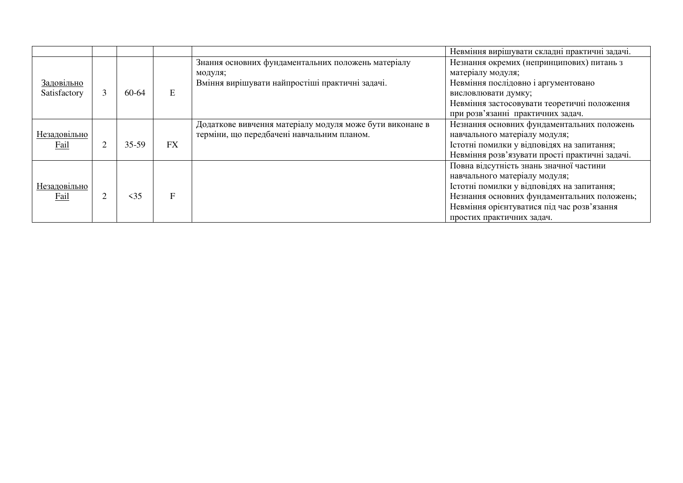|                     |   |           |           |                                                          | Невміння вирішувати складні практичні задачі.  |
|---------------------|---|-----------|-----------|----------------------------------------------------------|------------------------------------------------|
|                     |   |           |           | Знання основних фундаментальних положень матеріалу       | Незнання окремих (непринципових) питань з      |
|                     |   |           |           | модуля;                                                  | матеріалу модуля;                              |
| Задовільно          |   |           |           | Вміння вирішувати найпростіші практичні задачі.          | Невміння послідовно і аргументовано            |
| Satisfactory        |   | 60-64     | E         |                                                          | висловлювати думку;                            |
|                     |   |           |           |                                                          | Невміння застосовувати теоретичні положення    |
|                     |   |           |           |                                                          | при розв'язанні практичних задач.              |
|                     |   |           |           | Додаткове вивчення матеріалу модуля може бути виконане в | Незнання основних фундаментальних положень     |
| <u>Незадовільно</u> |   |           |           | терміни, що передбачені навчальним планом.               | навчального матеріалу модуля;                  |
| Fail                | 2 | 35-59     | <b>FX</b> |                                                          | Істотні помилки у відповідях на запитання;     |
|                     |   |           |           |                                                          | Невміння розв'язувати прості практичні задачі. |
|                     |   |           |           |                                                          | Повна відсутність знань значної частини        |
|                     |   |           |           |                                                          | навчального матеріалу модуля;                  |
| Незадовільно        |   |           |           |                                                          | Істотні помилки у відповідях на запитання;     |
| Fail                |   | $\leq$ 35 | F         |                                                          | Незнання основних фундаментальних положень;    |
|                     |   |           |           |                                                          | Невміння орієнтуватися під час розв'язання     |
|                     |   |           |           |                                                          | простих практичних задач.                      |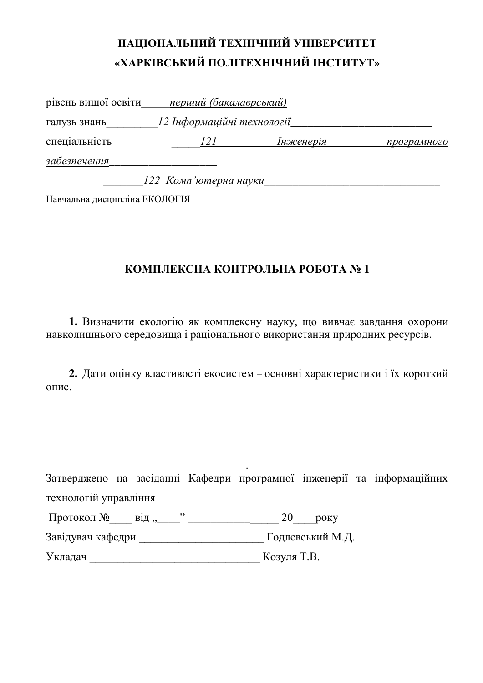| рівень вищої освіти | перший (бакалаврський)     |           |             |
|---------------------|----------------------------|-----------|-------------|
| галузь знань        | 12 Інформаційні технології |           |             |
| спеціальність       | 121                        | Інженерія | програмного |
| забезпечення        |                            |           |             |
|                     | 122 Комп'ютерна науки      |           |             |

Навчальна дисципліна ЕКОЛОГІЯ

#### КОМПЛЕКСНА КОНТРОЛЬНА РОБОТА № 1

1. Визначити екологію як комплексну науку, що вивчає завдання охорони навколишнього середовища і раціонального використання природних ресурсів.

**2.** Дати оцінку властивості екосистем – основні характеристики і їх короткий опис.

. Затверджено на засіданні Кафедри програмної інженерії та інформаційних технологій управління

| Протокол № |  |  |
|------------|--|--|
|            |  |  |

Ɂɚɜɿɞɭɜɚɱ ɤɚɮɟɞɪɢ \_\_\_\_\_\_\_\_\_\_\_\_\_\_\_\_\_\_\_\_\_\_ Ƚɨɞɥɟɜɫɶɤɢɣ Ɇ.Ⱦ.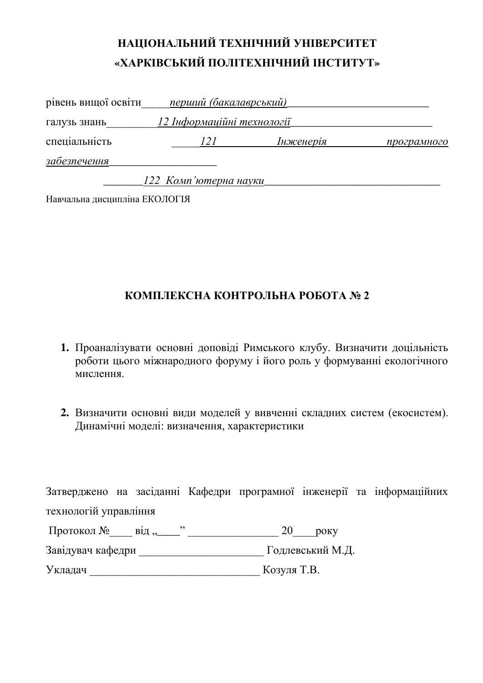| рівень вищої освіти | перший (бакалаврський)     |           |             |
|---------------------|----------------------------|-----------|-------------|
| галузь знань        | 12 Інформаційні технології |           |             |
| спеціальність       | 121                        | Інженерія | програмного |
| забезпечення        |                            |           |             |
|                     | 122 Комп'ютерна науки      |           |             |

Навчальна дисципліна ЕКОЛОГІЯ

#### КОМПЛЕКСНА КОНТРОЛЬНА РОБОТА № 2

- 1. Проаналізувати основні доповіді Римського клубу. Визначити доцільність роботи цього міжнародного форуму і його роль у формуванні екологічного мислення
- 2. Визначити основні види моделей у вивченні складних систем (екосистем). Динамічні моделі: визначення, характеристики

Затверджено на засіданні Кафедри програмної інженерії та інформаційних технологій управління

| Протокол №<br>$B1\mu,$ | року             |
|------------------------|------------------|
| Завідувач кафедри      | Годлевський М.Д. |
|                        |                  |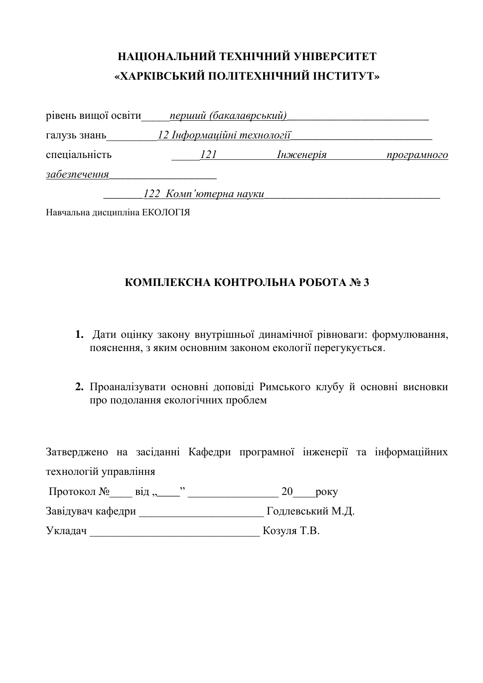| рівень вищої освіти | перший (бакалаврський)     |           |             |
|---------------------|----------------------------|-----------|-------------|
| галузь знань        | 12 Інформаційні технології |           |             |
| спеціальність       | 121                        | Інженерія | програмного |
| забезпечення        |                            |           |             |
|                     | 122 Комп'ютерна науки      |           |             |

Навчальна дисципліна ЕКОЛОГІЯ

#### КОМПЛЕКСНА КОНТРОЛЬНА РОБОТА № 3

- 1. Дати оцінку закону внутрішньої динамічної рівноваги: формулювання, пояснення, з яким основним законом екології перегукується.
- 2. Проаналізувати основні доповіді Римського клубу й основні висновки про подолання екологічних проблем

|                         |  |             |                  | Затверджено на засіданні Кафедри програмної інженерії та інформаційних |
|-------------------------|--|-------------|------------------|------------------------------------------------------------------------|
| технологій управління   |  |             |                  |                                                                        |
| Протокол № від "______" |  | 20          | poky             |                                                                        |
| Завідувач кафедри       |  |             | Годлевський М.Д. |                                                                        |
| Укладач                 |  | Козуля Т.В. |                  |                                                                        |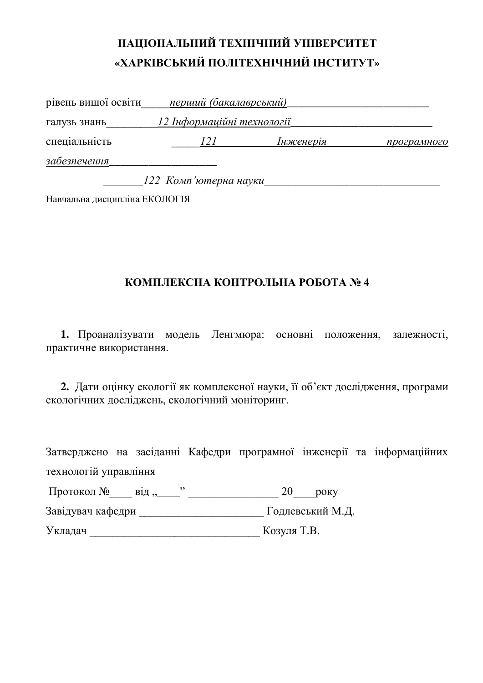| рівень вищої освіти | перший (бакалаврський)     |           |             |
|---------------------|----------------------------|-----------|-------------|
| галузь знань        | 12 Інформаційні технології |           |             |
| спеціальність       | 121                        | Інженерія | програмного |
| забезпечення        |                            |           |             |
|                     | 122 Комп'ютерна науки      |           |             |

Навчальна дисципліна ЕКОЛОГІЯ

### КОМПЛЕКСНА КОНТРОЛЬНА РОБОТА № 4

1. Проаналізувати модель Ленгмюра: основні положення, залежності, практичне використання.

2. Дати оцінку екології як комплексної науки, її об'єкт дослідження, програми екологічних досліджень, екологічний моніторинг.

Затверджено на засіданні Кафедри програмної інженерії та інформаційних технологій управління Протокол №\_\_\_\_ від "\_\_\_\_" \_\_\_\_\_\_\_\_\_\_\_\_\_\_\_\_\_\_ 20\_\_\_\_\_року Завідувач кафедри \_\_\_\_\_\_\_\_\_\_\_\_\_\_\_\_\_\_\_\_\_\_\_\_\_\_\_\_\_\_ Годлевський М.Д. ɍɤɥɚɞɚɱ \_\_\_\_\_\_\_\_\_\_\_\_\_\_\_\_\_\_\_\_\_\_\_\_\_\_\_\_\_\_ Ʉɨɡɭɥɹ Ɍ.ȼ.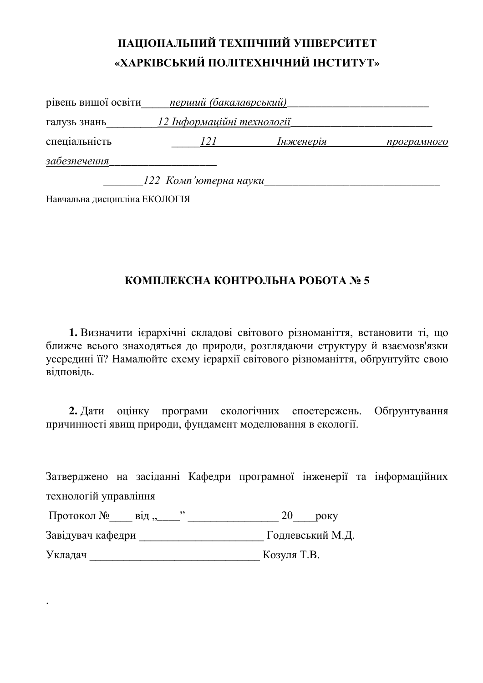| рівень вищої освіти | перший (бакалаврський)     |           |             |
|---------------------|----------------------------|-----------|-------------|
| галузь знань        | 12 Інформаційні технології |           |             |
| спеціальність       | <i>121</i>                 | Інженерія | програмного |
| забезпечення        |                            |           |             |
|                     | 122 Комп'ютерна науки      |           |             |

Навчальна дисципліна ЕКОЛОГІЯ

#### КОМПЛЕКСНА КОНТРОЛЬНА РОБОТА № 5

1. Визначити ієрархічні складові світового різноманіття, встановити ті, що ближче всього знаходяться до природи, розглядаючи структуру й взаємозв'язки усередині її? Намалюйте схему ієрархії світового різноманіття, обґрунтуйте свою ъідповідь.

**2.** Дати оцінку програми екологічних спостережень. Обґрунтування причинності явищ природи, фундамент моделювання в екології.

Затверджено на засіданні Кафедри програмної інженерії та інформаційних технологій управління

| Протокол №<br>в1д ,,_ | $20$ $p$ $p$     |
|-----------------------|------------------|
| Завідувач кафедри     | Годлевський М.Д. |

ɍɤɥɚɞɚɱ \_\_\_\_\_\_\_\_\_\_\_\_\_\_\_\_\_\_\_\_\_\_\_\_\_\_\_\_\_\_ Ʉɨɡɭɥɹ Ɍ.ȼ.

.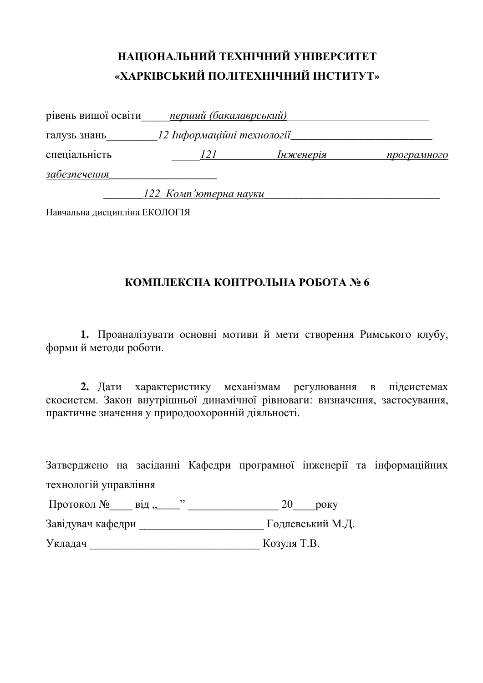| рівень вищої освіти | перший (бакалаврський)     |           |             |
|---------------------|----------------------------|-----------|-------------|
| галузь знань        | 12 Інформаційні технології |           |             |
| спеціальність       | 121                        | Інженерія | програмного |
| забезпечення        |                            |           |             |
|                     | 122 Комп'ютерна науки      |           |             |

Навчальна лиспипліна ЕКОЛОГІЯ

#### КОМПЛЕКСНА КОНТРОЛЬНА РОБОТА № 6

1. Проаналізувати основні мотиви й мети створення Римського клубу, формий методи роботи.

2. Дати характеристику механізмам регулювання в підсистемах екосистем. Закон внутрішньої динамічної рівноваги: визначення, застосування, практичне значення у природоохоронній діяльності.

Затверджено на засіданні Кафедри програмної інженерії та інформаційних технологій управління ɉɪɨɬɨɤɨɥ №\_\_\_\_ ɜɿɞ "\_\_\_\_" \_\_\_\_\_\_\_\_\_\_\_\_\_\_\_\_ 20\_\_\_\_ɪɨɤɭ Ɂɚɜɿɞɭɜɚɱ ɤɚɮɟɞɪɢ \_\_\_\_\_\_\_\_\_\_\_\_\_\_\_\_\_\_\_\_\_\_ Ƚɨɞɥɟɜɫɶɤɢɣ Ɇ.Ⱦ. ɍɤɥɚɞɚɱ \_\_\_\_\_\_\_\_\_\_\_\_\_\_\_\_\_\_\_\_\_\_\_\_\_\_\_\_\_\_ Ʉɨɡɭɥɹ Ɍ.ȼ.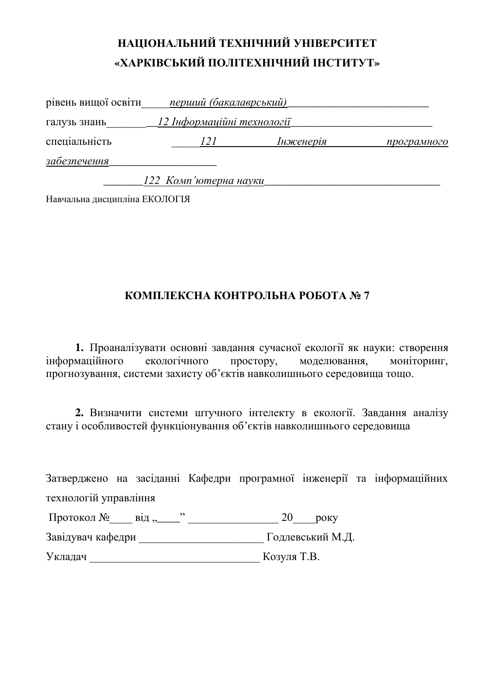| рівень вищої освіти | перший (бакалаврський)     |           |             |
|---------------------|----------------------------|-----------|-------------|
| галузь знань        | 12 Інформаційні технології |           |             |
| спеціальність       | 121                        | Інженерія | програмного |
| забезпечення        |                            |           |             |
|                     | 122 Комп'ютерна науки      |           |             |

Навчальна дисципліна ЕКОЛОГІЯ

#### КОМПЛЕКСНА КОНТРОЛЬНА РОБОТА № 7

1. Проаналізувати основні завдання сучасної екології як науки: створення інформаційного екологічного простору, моделювання, моніторинг, прогнозування, системи захисту об'єктів навколишнього середовища тощо.

2. Визначити системи штучного інтелекту в екології. Завдання аналізу стану і особливостей функціонування об'єктів навколишнього середовища

Затверджено на засіданні Кафедри програмної інженерії та інформаційних технологій управління

| Протокол №<br>$B1\mu,$ | року             |
|------------------------|------------------|
| Завідувач кафедри      | Годлевський М.Д. |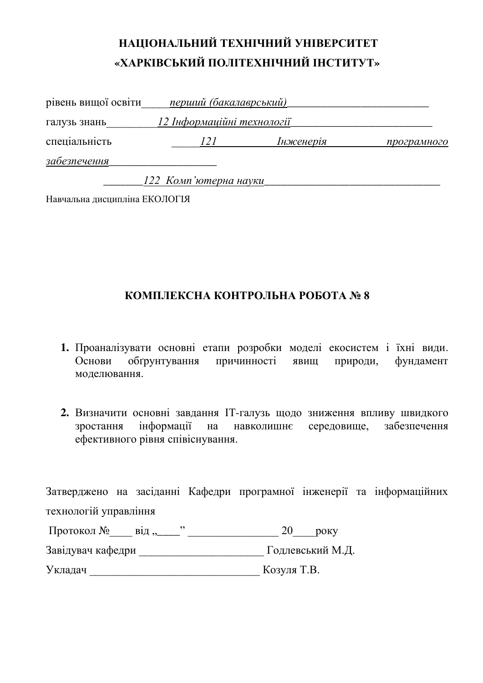| рівень вищої освіти | перший (бакалаврський)     |           |             |
|---------------------|----------------------------|-----------|-------------|
| галузь знань        | 12 Інформаційні технології |           |             |
| спеціальність       | 121                        | Інженерія | програмного |
| забезпечення        |                            |           |             |
|                     | 122 Комп'ютерна науки      |           |             |

Навчальна дисципліна ЕКОЛОГІЯ

#### КОМПЛЕКСНА КОНТРОЛЬНА РОБОТА № 8

- 1. Проаналізувати основні етапи розробки моделі екосистем і їхні види. Основи обґрунтування причинності явищ природи, фундамент моделювання.
- 2. Визначити основні завдання IT-галузь щодо зниження впливу швидкого зростання інформації на навколишнє середовище, забезпечення eфективного рівня співіснування.

| Протокол №<br>$B1\mu,$ | року             |
|------------------------|------------------|
| Завідувач кафедри      | Годлевський М.Д. |
| Укладач                | Козуля Т.В.      |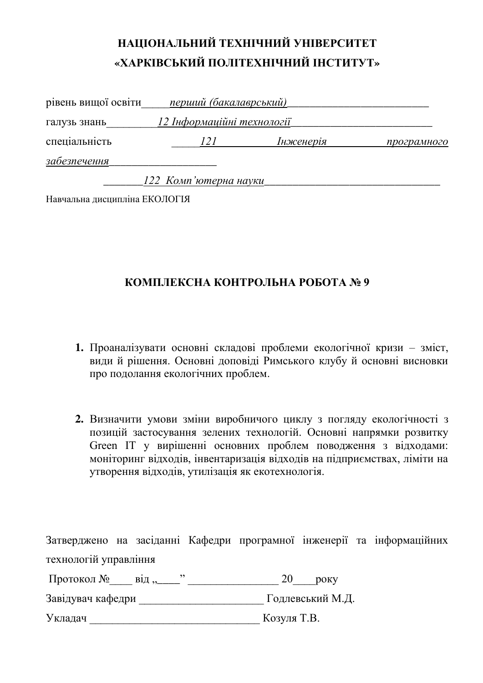| рівень вищої освіти | перший (бакалаврський)     |           |             |
|---------------------|----------------------------|-----------|-------------|
| галузь знань        | 12 Інформаційні технології |           |             |
| спеціальність       | 121                        | Інженерія | програмного |
| забезпечення        |                            |           |             |
|                     | 122 Комп'ютерна науки      |           |             |

Навчальна дисципліна ЕКОЛОГІЯ

#### КОМПЛЕКСНА КОНТРОЛЬНА РОБОТА № 9

- 1. Проаналізувати основні складові проблеми екологічної кризи зміст, види й рішення. Основні доповіді Римського клубу й основні висновки про подолання екологічних проблем.
- 2. Визначити умови зміни виробничого циклу з погляду екологічності з позицій застосування зелених технологій. Основні напрямки розвитку Green IT у вирішенні основних проблем поводження з відходами: моніторинг відходів, інвентаризація відходів на підприємствах, ліміти на vтворення відходів, утилізація як екотехнологія.

| Протокол №<br>$B1\mu,$ | року             |
|------------------------|------------------|
| Завідувач кафедри      | Годлевський М.Д. |
| Укладач                | Козуля Т.В.      |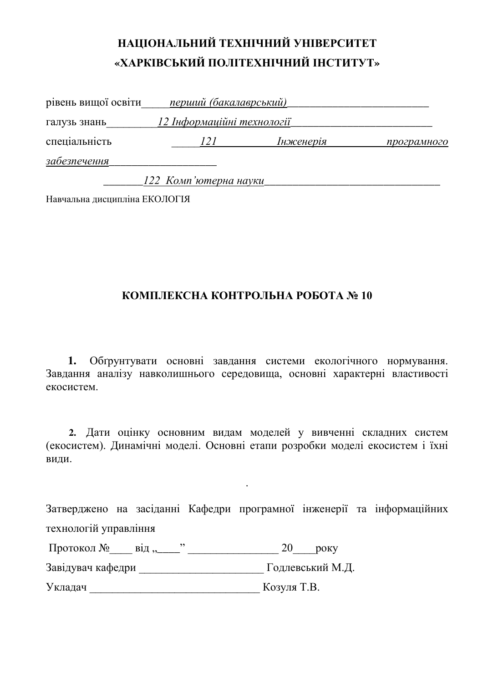| рівень вищої освіти | перший (бакалаврський)     |           |             |
|---------------------|----------------------------|-----------|-------------|
| галузь знань        | 12 Інформаційні технології |           |             |
| спеціальність       | 121                        | Інженерія | програмного |
| забезпечення        |                            |           |             |
|                     | 122 Комп'ютерна науки      |           |             |

Навчальна дисципліна ЕКОЛОГІЯ

#### КОМПЛЕКСНА КОНТРОЛЬНА РОБОТА № 10

1. Обтрунтувати основні завдання системи екологічного нормування. Завдання аналізу навколишнього середовища, основні характерні властивості екосистем.

**2.** Дати оцінку основним видам моделей у вивченні складних систем (екосистем). Динамічні моделі. Основні етапи розробки моделі екосистем і їхні види.

Затверджено на засіданні Кафедри програмної інженерії та інформаційних технологій управління

.

| Протокол № |  |  |  |  |
|------------|--|--|--|--|
|------------|--|--|--|--|

Ɂɚɜɿɞɭɜɚɱ ɤɚɮɟɞɪɢ \_\_\_\_\_\_\_\_\_\_\_\_\_\_\_\_\_\_\_\_\_\_ Ƚɨɞɥɟɜɫɶɤɢɣ Ɇ.Ⱦ.

Укладач Козуля Т.В.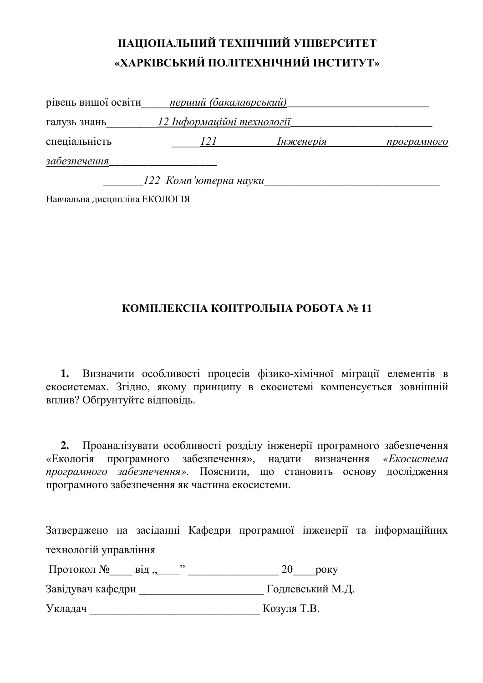| рівень вищої освіти | перший (бакалаврський)     |           |             |
|---------------------|----------------------------|-----------|-------------|
| галузь знань        | 12 Інформаційні технології |           |             |
| спеціальність       | 121                        | Інженерія | програмного |
| забезпечення        |                            |           |             |
|                     | 122 Комп'ютерна науки      |           |             |

Навчальна дисципліна ЕКОЛОГІЯ

#### КОМПЛЕКСНА КОНТРОЛЬНА РОБОТА № 11

1. Визначити особливості процесів фізико-хімічної міграції елементів в екосистемах. Згідно, якому принципу в екосистемі компенсується зовнішній вплив? Обґрунтуйте відповідь.

**2.** Проаналізувати особливості розділу інженерії програмного забезпечення «Екологія програмного забезпечення», надати визначення «*Екосистема* програмного забезпечення». Пояснити, що становить основу дослідження програмного забезпечення як частина екосистеми.

Затверджено на засіданні Кафедри програмної інженерії та інформаційних технологій управління

Протокол № \_\_\_ від "\_\_\_\_" \_\_\_\_\_\_\_\_\_\_\_\_\_\_\_\_\_ 20\_\_\_\_\_року

Завідувач кафедри \_\_\_\_\_\_\_\_\_\_\_\_\_\_\_\_\_\_\_\_\_\_\_\_\_\_\_ Годлевський М.Д.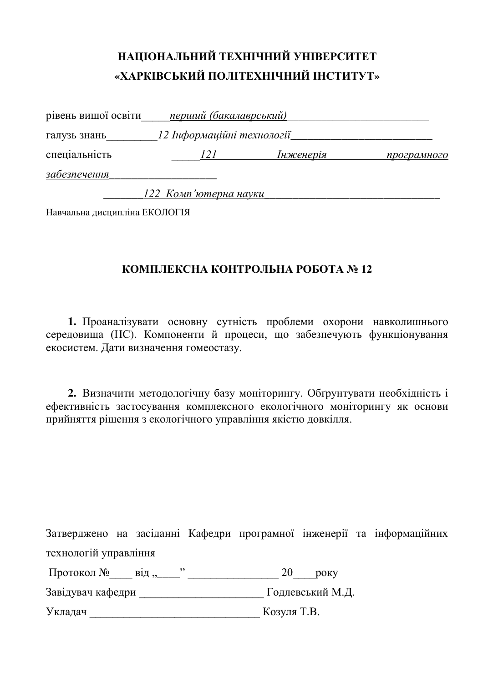| рівень вищої освіти | перший (бакалаврський)     |           |             |
|---------------------|----------------------------|-----------|-------------|
| галузь знань        | 12 Інформаційні технології |           |             |
| спеціальність       | 121                        | Інженерія | програмного |
| забезпечення        |                            |           |             |
|                     | 122 Комп'ютерна науки      |           |             |

Навчальна лиспипліна ЕКОЛОГІЯ

#### КОМПЛЕКСНА КОНТРОЛЬНА РОБОТА № 12

1. Проаналізувати основну сутність проблеми охорони навколишнього середовища (НС). Компоненти й процеси, що забезпечують функціонування екосистем. Дати визначення гомеостазу.

2. Визначити методологічну базу моніторингу. Обґрунтувати необхідність і ефективність застосування комплексного екологічного моніторингу як основи прийняття рішення з екологічного управління якістю довкілля.

|                       |  |  |  | Затверджено на засіданні Кафедри програмної інженерії та інформаційних |
|-----------------------|--|--|--|------------------------------------------------------------------------|
| технологій управління |  |  |  |                                                                        |

Протокол № \_\_\_ від "\_\_\_\_" \_\_\_\_\_\_\_\_\_\_\_\_\_\_\_\_\_\_ 20\_\_\_\_\_\_ року

Ɂɚɜɿɞɭɜɚɱ ɤɚɮɟɞɪɢ \_\_\_\_\_\_\_\_\_\_\_\_\_\_\_\_\_\_\_\_\_\_ Ƚɨɞɥɟɜɫɶɤɢɣ Ɇ.Ⱦ.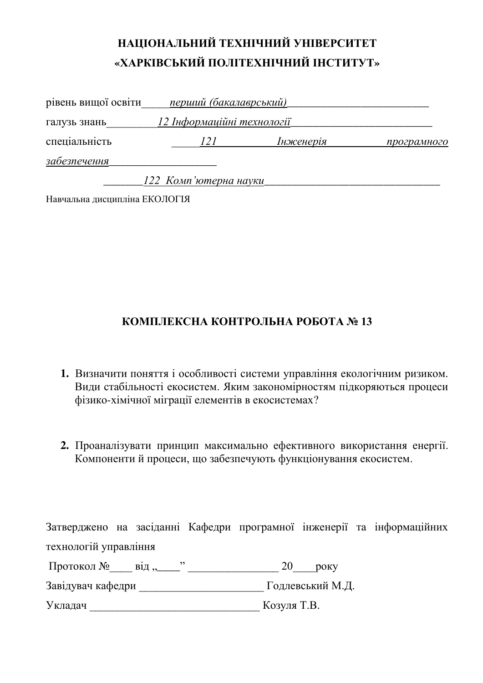| рівень вищої освіти | перший (бакалаврський)     |           |             |
|---------------------|----------------------------|-----------|-------------|
| галузь знань        | 12 Інформаційні технології |           |             |
| спеціальність       | 121                        | Інженерія | програмного |
| забезпечення        |                            |           |             |
|                     | 122 Комп'ютерна науки      |           |             |

Навчальна дисципліна ЕКОЛОГІЯ

#### КОМПЛЕКСНА КОНТРОЛЬНА РОБОТА № 13

- 1. Визначити поняття і особливості системи управління екологічним ризиком. Види стабільності екосистем. Яким закономірностям підкоряються процеси фізико-хімічної міграції елементів в екосистемах?
- 2. Проаналізувати принцип максимально ефективного використання енергії. Компонентий процеси, що забезпечують функціонування екосистем.

Затверджено на засіданні Кафедри програмної інженерії та інформаційних технологій управління

Протокол №\_\_\_\_ від "\_\_\_\_" \_\_\_\_\_\_\_\_\_\_\_\_\_\_\_\_ 20\_\_\_\_\_ року

Ɂɚɜɿɞɭɜɚɱ ɤɚɮɟɞɪɢ \_\_\_\_\_\_\_\_\_\_\_\_\_\_\_\_\_\_\_\_\_\_ Ƚɨɞɥɟɜɫɶɤɢɣ Ɇ.Ⱦ.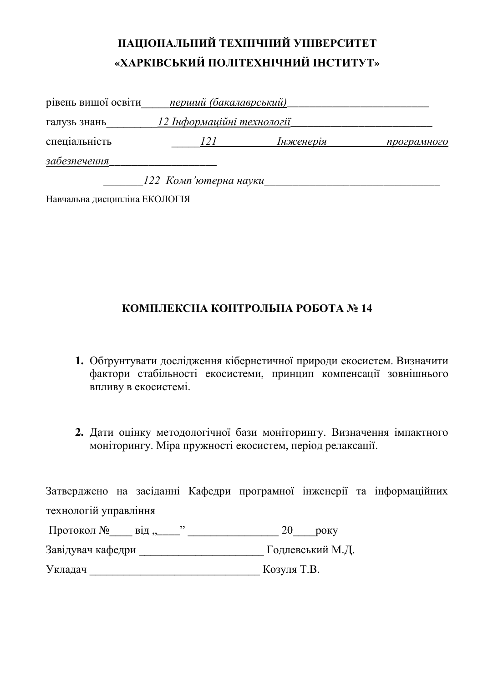| рівень вищої освіти | перший (бакалаврський)     |           |             |
|---------------------|----------------------------|-----------|-------------|
| галузь знань        | 12 Інформаційні технології |           |             |
| спеціальність       | 121                        | Інженерія | програмного |
| забезпечення        |                            |           |             |
|                     | 122 Комп'ютерна науки      |           |             |

Навчальна дисципліна ЕКОЛОГІЯ

#### КОМПЛЕКСНА КОНТРОЛЬНА РОБОТА № 14

- 1. Обґрунтувати дослідження кібернетичної природи екосистем. Визначити фактори стабільності екосистеми, принцип компенсації зовнішнього впливу в екосистемі.
- 2. Дати оцінку методологічної бази моніторингу. Визначення імпактного моніторингу. Міра пружності екосистем, період релаксації.

| Протокол № від,   | року             |
|-------------------|------------------|
| Завідувач кафедри | Годлевський М.Д. |
| Укладач           | Козуля Т.В.      |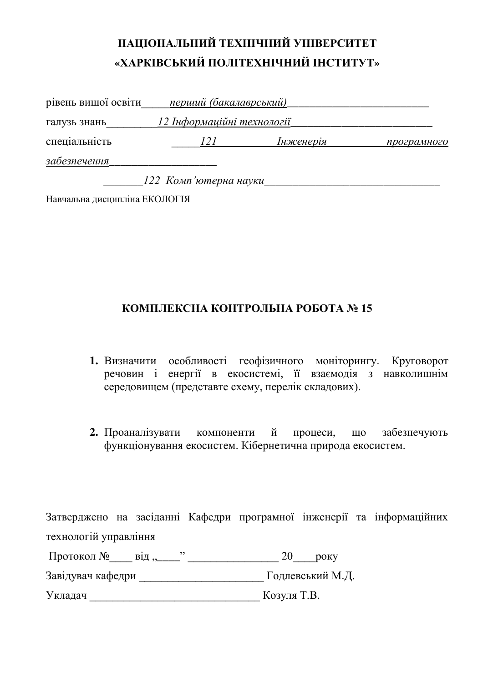| рівень вищої освіти | перший (бакалаврський)             |           |             |
|---------------------|------------------------------------|-----------|-------------|
| галузь знань        | <u> 12 Інформаційні технології</u> |           |             |
| спеціальність       | 121                                | Інженерія | програмного |
| забезпечення        |                                    |           |             |
|                     | 122 Комп'ютерна науки              |           |             |

Навчальна дисципліна ЕКОЛОГІЯ

#### КОМПЛЕКСНА КОНТРОЛЬНА РОБОТА № 15

- 1. Визначити особливості геофізичного моніторингу. Круговорот речовин і енергії в екосистемі, її взаємодія з навколишнім середовищем (представте схему, перелік складових).
- **2.** Проаналізувати компоненти й процеси, що забезпечують функціонування екосистем. Кібернетична природа екосистем.

| Протокол №<br>$B1\mu,$ | <b>DOKV</b>      |
|------------------------|------------------|
| Завідувач кафедри      | Годлевський М.Д. |
| Укладач                | Козуля Т.В.      |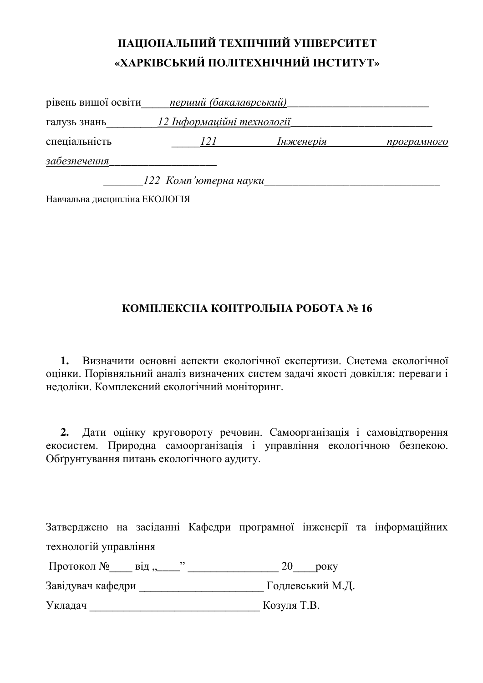| рівень вищої освіти | перший (бакалаврський)             |           |             |
|---------------------|------------------------------------|-----------|-------------|
| галузь знань        | <u> 12 Інформаційні технології</u> |           |             |
| спеціальність       | 121                                | Інженерія | програмного |
| забезпечення        |                                    |           |             |
|                     | 122 Комп'ютерна науки              |           |             |

Навчальна дисципліна ЕКОЛОГІЯ

#### КОМПЛЕКСНА КОНТРОЛЬНА РОБОТА № 16

1. Визначити основні аспекти екологічної експертизи. Система екологічної оцінки. Порівняльний аналіз визначених систем задачі якості довкілля: переваги і недоліки. Комплексний екологічний моніторинг.

2. Дати оцінку круговороту речовин. Самоорганізація і самовідтворення екосистем. Природна самоорганізація і управління екологічною безпекою. Обгрунтування питань екологічного аудиту.

| ∏ротокол №<br>$B1\pi$ , | року             |
|-------------------------|------------------|
| Завідувач кафедри       | Годлевський М.Д. |
| Укладач                 | Козуля Т.В.      |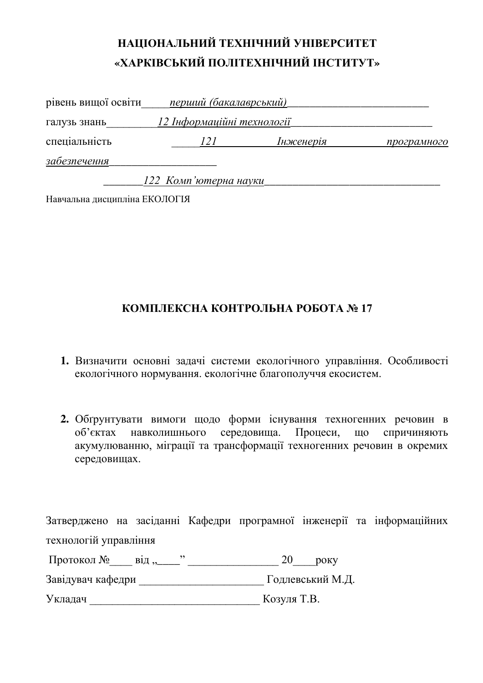| рівень вищої освіти | перший (бакалаврський)     |           |             |
|---------------------|----------------------------|-----------|-------------|
| галузь знань        | 12 Інформаційні технології |           |             |
| спеціальність       | 121                        | Інженерія | програмного |
| забезпечення        |                            |           |             |
|                     | 122 Комп'ютерна науки      |           |             |

Навчальна дисципліна ЕКОЛОГІЯ

#### КОМПЛЕКСНА КОНТРОЛЬНА РОБОТА № 17

- 1. Визначити основні задачі системи екологічного управління. Особливості екологічного нормування. екологічне благополуччя екосистем.
- 2. Обгрунтувати вимоги щодо форми існування техногенних речовин в об'єктах навколишнього середовища. Процеси, що спричиняють акумулюванню, міграції та трансформації техногенних речовин в окремих середовищах.

Затверджено на засіданні Кафедри програмної інженерії та інформаційних технологій управління

ɉɪɨɬɨɤɨɥ №\_\_\_\_ ɜɿɞ "\_\_\_\_" \_\_\_\_\_\_\_\_\_\_\_\_\_\_\_\_ 20\_\_\_\_ɪɨɤɭ

Ɂɚɜɿɞɭɜɚɱ ɤɚɮɟɞɪɢ \_\_\_\_\_\_\_\_\_\_\_\_\_\_\_\_\_\_\_\_\_\_ Ƚɨɞɥɟɜɫɶɤɢɣ Ɇ.Ⱦ.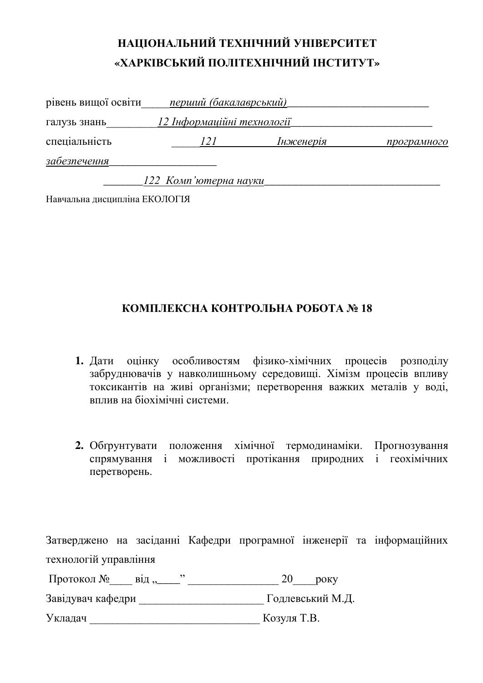| рівень вищої освіти | перший (бакалаврський)             |           |             |
|---------------------|------------------------------------|-----------|-------------|
| галузь знань        | <u> 12 Інформаційні технології</u> |           |             |
| спеціальність       | 121                                | Інженерія | програмного |
| забезпечення        |                                    |           |             |
|                     | 122 Комп'ютерна науки              |           |             |

Навчальна дисципліна ЕКОЛОГІЯ

#### КОМПЛЕКСНА КОНТРОЛЬНА РОБОТА № 18

- **1.** Дати оцінку особливостям фізико-хімічних процесів розподілу сабруднювачів у навколишньому середовищі. Хімізм процесів впливу токсикантів на живі організми; перетворення важких металів у воді, **в**плив на біохімічні системи
- 2. Обґрунтувати положення хімічної термодинаміки. Прогнозування спрямування і можливості протікання природних і геохімічних перетворень.

| Протокол №<br>$B1\mu$ , | <b>DOKV</b>      |
|-------------------------|------------------|
| Завідувач кафедри       | Годлевський М.Д. |
| Укладач                 | Козуля Т.В.      |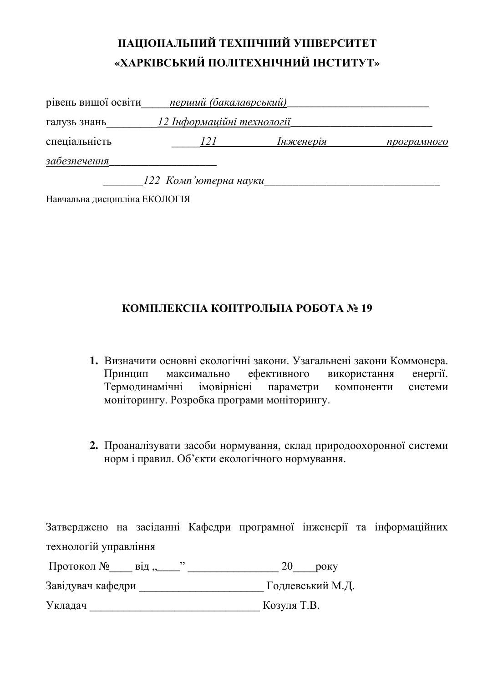| рівень вищої освіти | перший (бакалаврський)     |           |             |
|---------------------|----------------------------|-----------|-------------|
| галузь знань        | 12 Інформаційні технології |           |             |
| спеціальність       | 121                        | Інженерія | програмного |
| забезпечення        |                            |           |             |
|                     | 122 Комп'ютерна науки      |           |             |

Навчальна дисципліна ЕКОЛОГІЯ

#### КОМПЛЕКСНА КОНТРОЛЬНА РОБОТА № 19

- 1. Визначити основні екологічні закони. Узагальнені закони Коммонера. Принцип максимально ефективного використання енергії. Термодинамічні імовірнісні параметри компоненти системи моніторингу. Розробка програми моніторингу.
- 2. Проаналізувати засоби нормування, склад природоохоронної системи норм і правил. Об'єкти екологічного нормування.

Затверджено на засіданні Кафедри програмної інженерії та інформаційних технологій управління

Протокол №\_\_\_\_ від "\_\_\_\_" \_\_\_\_\_\_\_\_\_\_\_\_\_\_\_ 20\_\_\_\_року

Ɂɚɜɿɞɭɜɚɱ ɤɚɮɟɞɪɢ \_\_\_\_\_\_\_\_\_\_\_\_\_\_\_\_\_\_\_\_\_\_ Ƚɨɞɥɟɜɫɶɤɢɣ Ɇ.Ⱦ.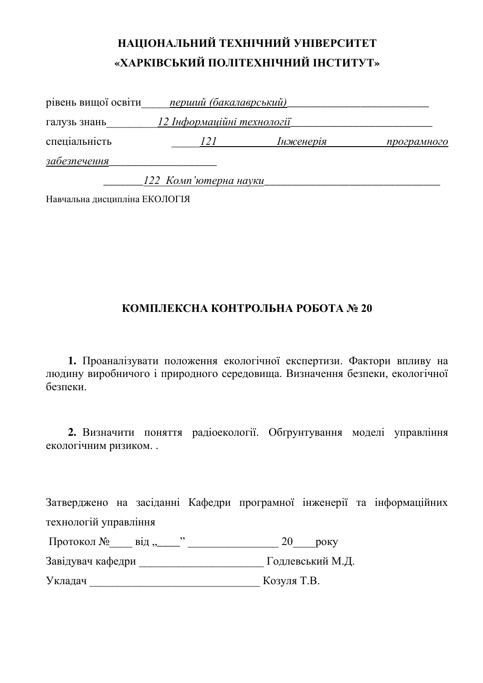| рівень вищої освіти | перший (бакалаврський)     |           |             |
|---------------------|----------------------------|-----------|-------------|
| галузь знань        | 12 Інформаційні технології |           |             |
| спеціальність       | 121                        | Інженерія | програмного |
| забезпечення        |                            |           |             |
|                     | 122 Комп'ютерна науки      |           |             |

Навчальна дисципліна ЕКОЛОГІЯ

#### КОМПЛЕКСНА КОНТРОЛЬНА РОБОТА № 20

1. Проаналізувати положення екологічної експертизи. Фактори впливу на людину виробничого і природного середовища. Визначення безпеки, екологічної безпеки.

2. Визначити поняття радіоекології. Обґрунтування моделі управління екологічним ризиком...

Затверджено на засіданні Кафедри програмної інженерії та інформаційних технологій управління

| Протокол № |  | 70 |
|------------|--|----|
|------------|--|----|

Ɂɚɜɿɞɭɜɚɱ ɤɚɮɟɞɪɢ \_\_\_\_\_\_\_\_\_\_\_\_\_\_\_\_\_\_\_\_\_\_ Ƚɨɞɥɟɜɫɶɤɢɣ Ɇ.Ⱦ.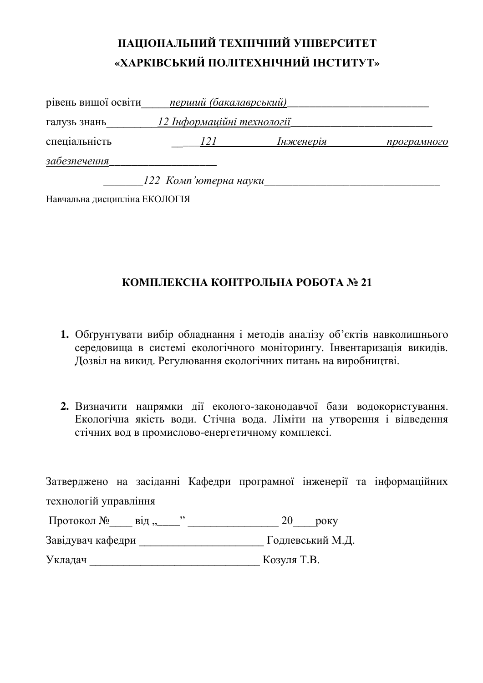| рівень вищої освіти | перший (бакалаврський)     |           |             |
|---------------------|----------------------------|-----------|-------------|
| галузь знань        | 12 Інформаційні технології |           |             |
| спеціальність       | 121                        | Інженерія | програмного |
| забезпечення        |                            |           |             |
|                     | 122 Комп'ютерна науки      |           |             |

Навчальна дисципліна ЕКОЛОГІЯ

### КОМПЛЕКСНА КОНТРОЛЬНА РОБОТА № 21

- 1. Обгрунтувати вибір обладнання і методів аналізу об'єктів навколишнього середовища в системі екологічного моніторингу. Інвентаризація викидів. Дозвіл на викид. Регулювання екологічних питань на виробництві.
- 2. Визначити напрямки дії еколого-законодавчої бази водокористування. Екологічна якість води. Стічна вода. Ліміти на утворення і відведення стічних вод в промислово-енергетичному комплексі.

|                             |  |             |                  | Затверджено на засіданні Кафедри програмної інженерії та інформаційних |
|-----------------------------|--|-------------|------------------|------------------------------------------------------------------------|
| технологій управління       |  |             |                  |                                                                        |
| Протокол № від " $\ldots$ " |  | <b>20</b>   | року             |                                                                        |
| Завідувач кафедри           |  |             | Годлевський М.Д. |                                                                        |
| Укладач                     |  | Козуля Т.В. |                  |                                                                        |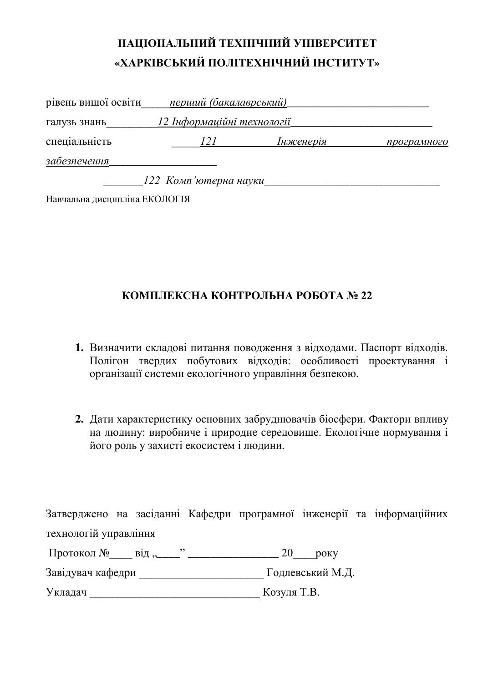| рівень вищої освіти | перший (бакалаврський)     |           |             |
|---------------------|----------------------------|-----------|-------------|
| галузь знань        | 12 Інформаційні технології |           |             |
| спеціальність       | 121                        | Інженерія | програмного |
| забезпечення        |                            |           |             |
|                     | 122 Комп'ютерна науки      |           |             |

Навчальна дисципліна ЕКОЛОГІЯ

#### КОМПЛЕКСНА КОНТРОЛЬНА РОБОТА № 22

- 1. Визначити складові питання поводження з відходами. Паспорт відходів. Полігон твердих побутових відходів: особливості проектування і організації системи екологічного управління безпекою.
- 2. Дати характеристику основних забруднювачів біосфери. Фактори впливу на людину: виробниче і природне середовище. Екологічне нормування і його роль у захисті екосистем і людини.

Затверджено на засіданні Кафедри програмної інженерії та інформаційних технологій управління

Протокол № від " $\frac{1}{2}$  " \_\_\_\_\_\_\_\_\_\_\_\_\_\_\_\_\_ 20 року Ɂɚɜɿɞɭɜɚɱ ɤɚɮɟɞɪɢ \_\_\_\_\_\_\_\_\_\_\_\_\_\_\_\_\_\_\_\_\_\_ Ƚɨɞɥɟɜɫɶɤɢɣ Ɇ.Ⱦ. ɍɤɥɚɞɚɱ \_\_\_\_\_\_\_\_\_\_\_\_\_\_\_\_\_\_\_\_\_\_\_\_\_\_\_\_\_\_ Ʉɨɡɭɥɹ Ɍ.ȼ.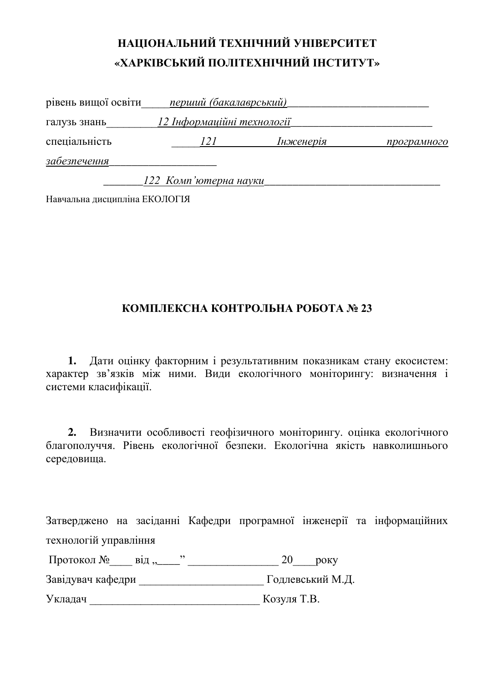| рівень вищої освіти | перший (бакалаврський)     |           |             |
|---------------------|----------------------------|-----------|-------------|
| галузь знань        | 12 Інформаційні технології |           |             |
| спеціальність       | 121                        | Інженерія | програмного |
| забезпечення        |                            |           |             |
|                     | 122 Комп'ютерна науки      |           |             |

Навчальна дисципліна ЕКОЛОГІЯ

#### КОМПЛЕКСНА КОНТРОЛЬНА РОБОТА № 23

1. Дати оцінку факторним і результативним показникам стану екосистем: характер зв'язків між ними. Види екологічного моніторингу: визначення і системи класифікації.

2. Визначити особливості геофізичного моніторингу. оцінка екологічного благополуччя. Рівень екологічної безпеки. Екологічна якість навколишнього середовища.

Затверджено на засіданні Кафедри програмної інженерії та інформаційних технологій управління

| ∏ротокол № |  |  |
|------------|--|--|
|            |  |  |

Завідувач кафедри и подперський М.Д.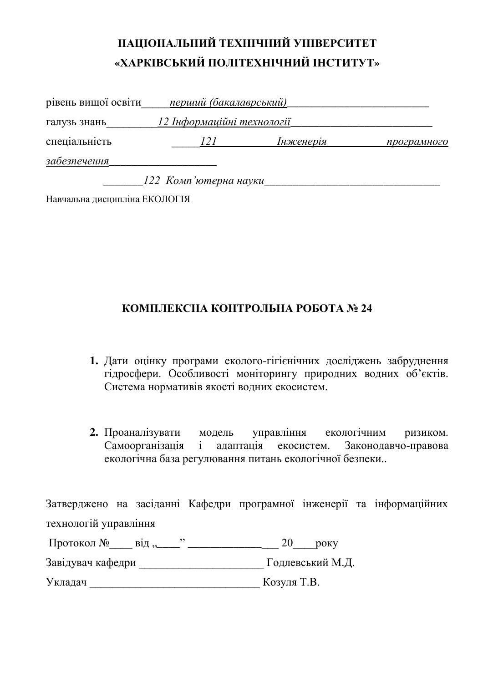| рівень вищої освіти | перший (бакалаврський)     |           |             |
|---------------------|----------------------------|-----------|-------------|
| галузь знань        | 12 Інформаційні технології |           |             |
| спеціальність       | 121                        | Інженерія | програмного |
| забезпечення        |                            |           |             |
|                     | 122 Комп'ютерна науки      |           |             |

Навчальна дисципліна ЕКОЛОГІЯ

#### КОМПЛЕКСНА КОНТРОЛЬНА РОБОТА № 24

- 1. Дати оцінку програми еколого-гігієнічних досліджень забруднення гідросфери. Особливості моніторингу природних водних об'єктів. Система нормативів якості водних екосистем.
- 2. Проаналізувати модель управління екологічним ризиком. Самоорганізація і адаптація екосистем. Законодавчо-правова екологічна база регулювання питань екологічної безпеки..

| Протокол №<br>від, | <b>DOKV</b>      |
|--------------------|------------------|
| Завідувач кафедри  | Годлевський М.Д. |
| Укладач            | Козуля Т.В.      |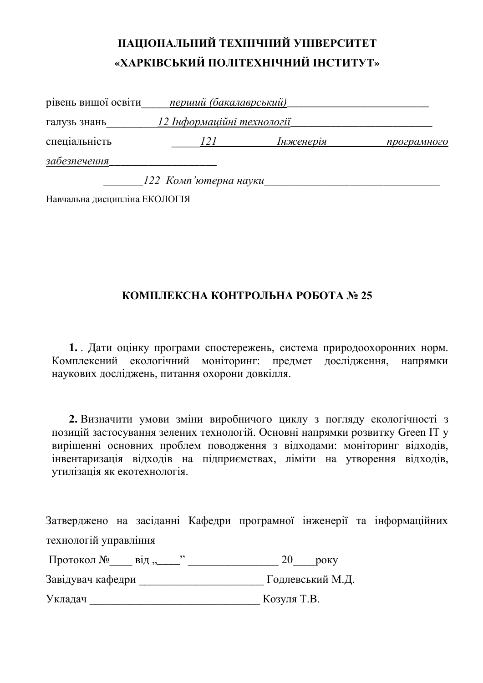| рівень вищої освіти | перший (бакалаврський)     |           |             |
|---------------------|----------------------------|-----------|-------------|
| галузь знань        | 12 Інформаційні технології |           |             |
| спеціальність       | 121                        | Інженерія | програмного |
| забезпечення        |                            |           |             |
|                     | 122 Комп'ютерна науки      |           |             |

Навчальна дисципліна ЕКОЛОГІЯ

#### КОМПЛЕКСНА КОНТРОЛЬНА РОБОТА № 25

1. . Дати оцінку програми спостережень, система природоохоронних норм. Комплексний екологічний моніторинг: предмет дослідження, напрямки наукових досліджень, питання охорони довкілля.

2. Визначити умови зміни виробничого циклу з погляду екологічності з позицій застосування зелених технологій. Основні напрямки розвитку Green ІТ у вирішенні основних проблем поводження з відходами: моніторинг відходів, інвентаризація відходів на підприємствах, ліміти на утворення відходів, утилізація як екотехнологія.

| ∏ротокол №<br>$B1\mu,$ | року             |
|------------------------|------------------|
| Завідувач кафедри      | Годлевський М.Д. |
| Укладач                | Козуля Т.В.      |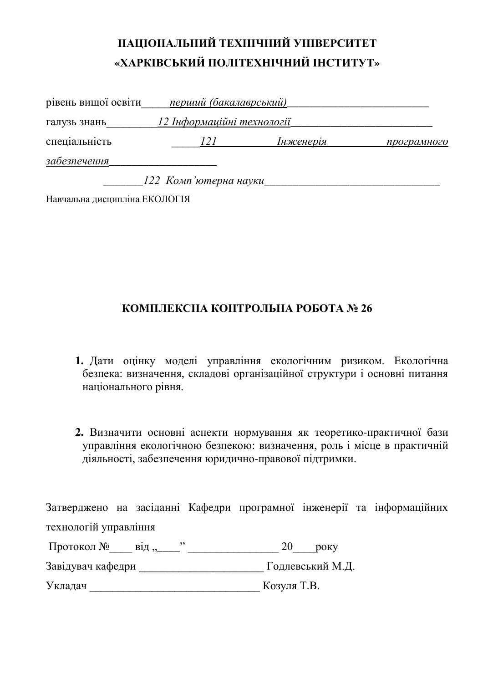| рівень вищої освіти | перший (бакалаврський)     |           |             |
|---------------------|----------------------------|-----------|-------------|
| галузь знань        | 12 Інформаційні технології |           |             |
| спеціальність       | 121                        | Інженерія | програмного |
| забезпечення        |                            |           |             |
|                     | 122 Комп'ютерна науки      |           |             |

Навчальна дисципліна ЕКОЛОГІЯ

#### КОМПЛЕКСНА КОНТРОЛЬНА РОБОТА № 26

- 1. Дати оцінку моделі управління екологічним ризиком. Екологічна безпека: визначення, складові організаційної структури і основні питання національного рівня.
- 2. Визначити основні аспекти нормування як теоретико-практичної бази управління екологічною безпекою: визначення, роль і місце в практичній ияльності, забезпечення юридично-правової підтримки.

| Протокол №<br>$B1\mu,$ | року             |
|------------------------|------------------|
| Завідувач кафедри      | Годлевський М.Д. |
| Укладач                | Козуля Т.В.      |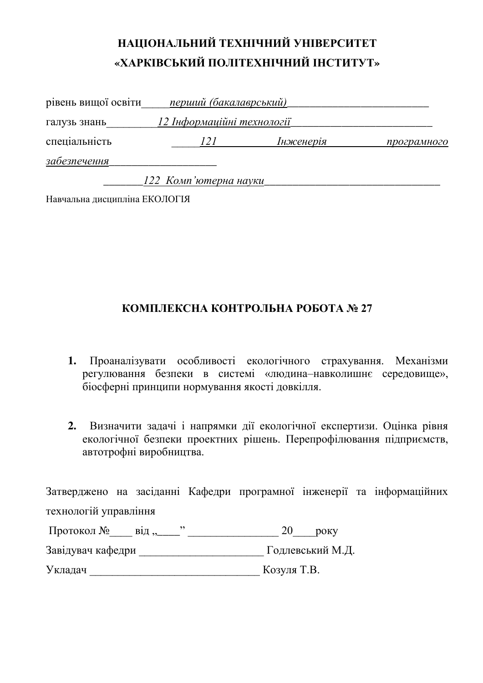| рівень вищої освіти | перший (бакалаврський)     |           |             |
|---------------------|----------------------------|-----------|-------------|
| галузь знань        | 12 Інформаційні технології |           |             |
| спеціальність       | 121                        | Інженерія | програмного |
| забезпечення        |                            |           |             |
|                     | 122 Комп'ютерна науки      |           |             |

Навчальна дисципліна ЕКОЛОГІЯ

#### КОМПЛЕКСНА КОНТРОЛЬНА РОБОТА № 27

- 1. Проаналізувати особливості екологічного страхування. Механізми регулювання безпеки в системі «людина-навколишнє середовище», біосферні принципи нормування якості довкілля.
- 2. Визначити задачі і напрямки дії екологічної експертизи. Оцінка рівня екологічної безпеки проектних рішень. Перепрофілювання підприємств, автотрофні виробництва.

| Протокол №<br>$B1\pi$ , | <b>DOKY</b>      |
|-------------------------|------------------|
| Завідувач кафедри       | Годлевський М.Д. |
| Укладач                 | Козуля Т.В.      |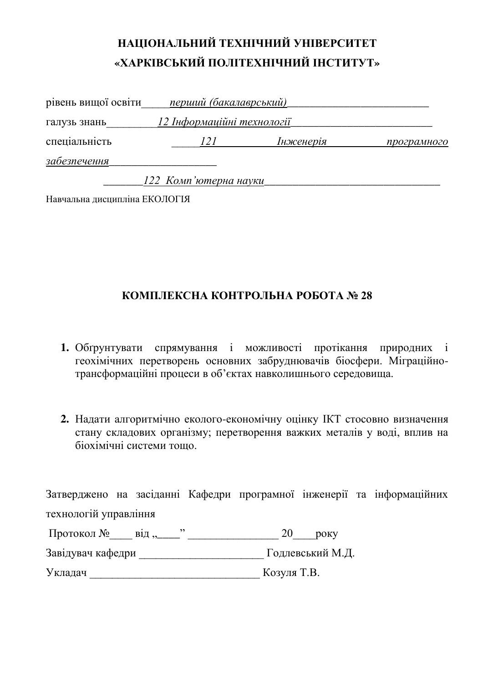| рівень вищої освіти | перший (бакалаврський)     |           |             |
|---------------------|----------------------------|-----------|-------------|
| галузь знань        | 12 Інформаційні технології |           |             |
| спеціальність       | 121                        | Інженерія | програмного |
| забезпечення        |                            |           |             |
|                     | 122 Комп'ютерна науки      |           |             |

Навчальна дисципліна ЕКОЛОГІЯ

#### КОМПЛЕКСНА КОНТРОЛЬНА РОБОТА № 28

- 1. Обгрунтувати спрямування і можливості протікання природних і геохімічних перетворень основних забруднювачів біосфери. Міграційнотрансформаційні процеси в об'єктах навколишнього середовища.
- 2. Надати алгоритмічно еколого-економічну оцінку ІКТ стосовно визначення стану складових організму; перетворення важких металів у воді, вплив на біохімічні системи тошо.

|                       |  |  |  | Затверджено на засіданні Кафедри програмної інженерії та інформаційних |
|-----------------------|--|--|--|------------------------------------------------------------------------|
| технологій управління |  |  |  |                                                                        |

| Протокол №<br>$B1\mu$ , | року             |
|-------------------------|------------------|
| Завідувач кафедри       | Годлевський М.Д. |
| Укладач                 | Козуля Т.В.      |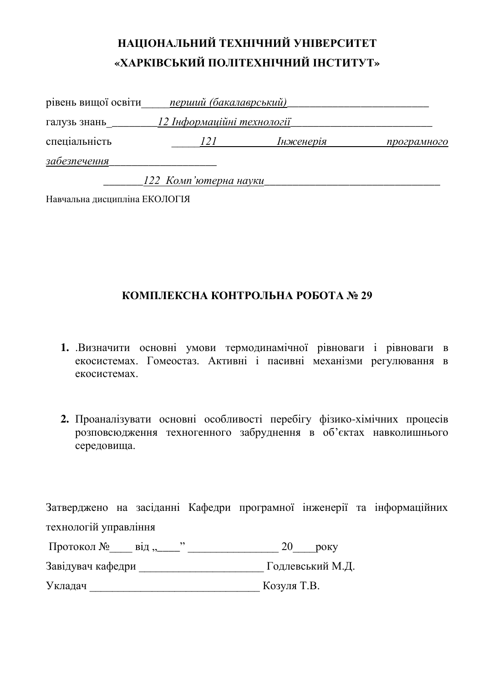| рівень вищої освіти | перший (бакалаврський)     |           |             |
|---------------------|----------------------------|-----------|-------------|
| галузь знань        | 12 Інформаційні технології |           |             |
| спеціальність       | 121                        | Інженерія | програмного |
| забезпечення        |                            |           |             |
|                     | 122 Комп'ютерна науки      |           |             |

Навчальна дисципліна ЕКОЛОГІЯ

#### КОМПЛЕКСНА КОНТРОЛЬНА РОБОТА № 29

- 1. .Визначити основні умови термодинамічної рівноваги і рівноваги в екосистемах. Гомеостаз. Активні і пасивні механізми регулювання в ekocuctemax
- 2. Проаналізувати основні особливості перебігу фізико-хімічних процесів розповсюдження техногенного забруднення в об'єктах навколишнього середовища.

Затверджено на засіданні Кафедри програмної інженерії та інформаційних технологій управління

| Протокол №<br>$B1\mu,$ | року             |
|------------------------|------------------|
| Завідувач кафедри      | Годлевський М.Д. |

Укладач Козуля Т.В.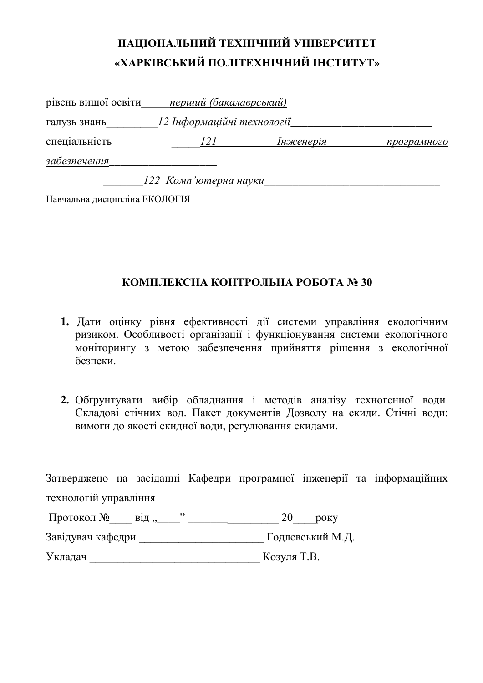| рівень вищої освіти | перший (бакалаврський)     |           |             |
|---------------------|----------------------------|-----------|-------------|
| галузь знань        | 12 Інформаційні технології |           |             |
| спеціальність       | 121                        | Інженерія | програмного |
| забезпечення        |                            |           |             |
|                     | 122 Комп'ютерна науки      |           |             |

Навчальна дисципліна ЕКОЛОГІЯ

#### КОМПЛЕКСНА КОНТРОЛЬНА РОБОТА № 30

- 1. Дати оцінку рівня ефективності дії системи управління екологічним изиком. Особливості організації і функціонування системи екологічного ноніторингу з метою забезпечення прийняття рішення з екологічної безпеки
- 2. Обгрунтувати вибір обладнання і методів аналізу техногенної води. Складові стічних вод. Пакет документів Дозволу на скиди. Стічні води: вимоги до якості скидної води, регулювання скидами.

|                                 |  |             |                  | Затверджено на засіданні Кафедри програмної інженерії та інформаційних |
|---------------------------------|--|-------------|------------------|------------------------------------------------------------------------|
| технологій управління           |  |             |                  |                                                                        |
| Протокол № від "____" _________ |  | 20          | року             |                                                                        |
| Завідувач кафедри               |  |             | Годлевський М.Д. |                                                                        |
| Укладач                         |  | Козуля Т.В. |                  |                                                                        |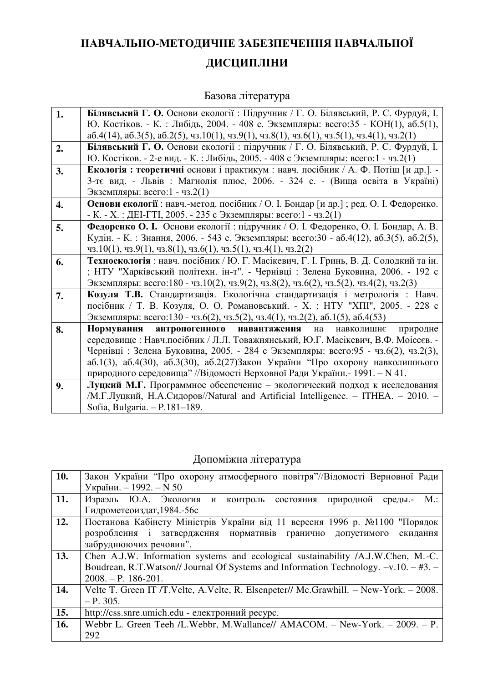# НАВЧАЛЬНО-МЕТОДИЧНЕ ЗАБЕЗПЕЧЕННЯ НАВЧАЛЬНОЇ ДИСЦИПЛІНИ

### Базова література

| 1. | Білявський Г. О. Основи екології: Підручник / Г. О. Білявський, Р. С. Фурдуй, І.                                        |
|----|-------------------------------------------------------------------------------------------------------------------------|
|    | Ю. Костіков. - К.: Либідь, 2004. - 408 с. Экземпляры: всего:35 - КОН(1), аб.5(1),                                       |
|    | $a6.4(14)$ , $a6.3(5)$ , $a6.2(5)$ , $a3.10(1)$ , $a3.9(1)$ , $a3.8(1)$ , $a3.6(1)$ , $a3.5(1)$ , $a3.4(1)$ , $a3.2(1)$ |
| 2. | Білявський Г. О. Основи екології: підручник / Г. О. Білявський, Р. С. Фурдуй, І.                                        |
|    | Ю. Костіков. - 2-е вид. - К.: Либідь, 2005. - 408 с Экземпляры: всего:1 - чз.2(1)                                       |
| 3. | Екологія: теоретичні основи і практикум: навч. посібник / А. Ф. Потіш [и др.]. -                                        |
|    | 3-тє вид. - Львів : Магнолія плюс, 2006. - 324 с. - (Вища освіта в Україні)                                             |
|    | Экземпляры: всего:1 - чз.2(1)                                                                                           |
| 4. | Основи екології: навч.-метод. посібник / О. І. Бондар [и др.]; ред. О. І. Федоренко.                                    |
|    | - К. - Х. : ДЕІ-ГТІ, 2005. - 235 с Экземпляры: всего:1 - чз.2(1)                                                        |
| 5. | Федоренко О. І. Основи екології: підручник / О. І. Федоренко, О. І. Бондар, А. В.                                       |
|    | Кудін. - К.: Знання, 2006. - 543 с. Экземпляры: всего:30 - аб.4(12), аб.3(5), аб.2(5),                                  |
|    | чз.10(1), чз.9(1), чз.8(1), чз.6(1), чз.5(1), чз.4(1), чз.2(2)                                                          |
| 6. | Техноекологія: навч. посібник / Ю. Г. Масікевич, Г. І. Гринь, В. Д. Солодкий та ін.                                     |
|    | ; НТУ "Харківський політехн. ін-т". - Чернівці : Зелена Буковина, 2006. - 192 с                                         |
|    | Экземпляры: всего:180 - чз.10(2), чз.9(2), чз.8(2), чз.6(2), чз.5(2), чз.4(2), чз.2(3)                                  |
| 7. | Козуля Т.В. Стандартизація. Екологічна стандартизація і метрологія : Навч.                                              |
|    | посібник / Т. В. Козуля, О. О. Романовський. - Х. : НТУ "ХПІ", 2005. - 228 с                                            |
|    | Экземпляры: всего:130 - чз.6(2), чз.5(2), чз.4(1), чз.2(2), аб.1(5), аб.4(53)                                           |
| 8. | <b>Нормування</b><br>антропогенного<br>навантаження<br>на<br>навколишнє<br>природне                                     |
|    | середовище: Навч.посібник / Л.Л. Товажнянський, Ю.Г. Масікевич, В.Ф. Моісеєв. -                                         |
|    | Чернівці: Зелена Буковина, 2005. - 284 с Экземпляры: всего: 95 - чз. 6(2), чз. 2(3),                                    |
|    | $a6.1(3)$ , $a6.4(30)$ , $a6.3(30)$ , $a6.2(27)3$ акон України "Про охорону навколишнього                               |
|    | природного середовища" //Відомості Верховної Ради України.- 1991. – N 41.                                               |
| 9. | Луцкий М.Г. Программное обеспечение - экологический подход к исследования                                               |
|    | /М.Г.Луцкий, Н.А.Сидоров//Natural and Artificial Intelligence. - ITHEA. - 2010. -                                       |
|    | Sofia, Bulgaria. - P.181-189.                                                                                           |

### Допоміжна література

| 10. | Закон України "Про охорону атмосферного повітря"//Відомості Верновної Ради            |
|-----|---------------------------------------------------------------------------------------|
|     | України. - 1992. - N 50                                                               |
| 11. | Израэль Ю.А. Экология и контроль<br>состояния природной<br>$M$ .:<br>среды.-          |
|     | Гидрометеоиздат, 1984.-56с                                                            |
| 12. | Постанова Кабінету Міністрів України від 11 вересня 1996 р. №1100 "Порядок            |
|     | розроблення і затвердження нормативів гранично допустимого<br>скидання                |
|     | забруднюючих речовин".                                                                |
| 13. | Chen A.J.W. Information systems and ecological sustainability /A.J.W.Chen, M.-C.      |
|     | Boudrean, R.T.Watson// Journal Of Systems and Information Technology. -v.10. - #3. -  |
|     | $2008. - P. 186-201.$                                                                 |
| 14. | Velte T. Green IT /T.Velte, A.Velte, R. Elsenpeter// Mc.Grawhill. – New-York. – 2008. |
|     | $- P. 305.$                                                                           |
| 15. | http://css.snre.umich.edu - електронний ресурс.                                       |
| 16. | Webbr L. Green Teeh /L.Webbr, M.Wallance// AMACOM. - New-York. - 2009. - P.           |
|     | 292                                                                                   |